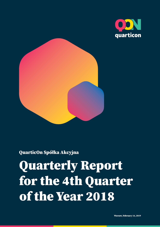



## QuarticOn Spółka Akcyjna

# Quarterly Report for the 4th Quarter of the Year 2018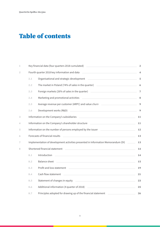## Table of contents

| 1              |     | Key financial data (four quarters 2018 cumulated)                                                                                                                                                                                      | $\overline{2}$          |
|----------------|-----|----------------------------------------------------------------------------------------------------------------------------------------------------------------------------------------------------------------------------------------|-------------------------|
| $\overline{2}$ |     | Fourth quarter 2018 key information and data                                                                                                                                                                                           | $\overline{\mathbf{4}}$ |
|                | 2.1 | Organisational and strategic development example and all and strategic development                                                                                                                                                     | $\sqrt{5}$              |
|                | 2.2 | The market in Poland (74% of sales in the quarter) _____________________________                                                                                                                                                       | $\boldsymbol{6}$        |
|                | 2.3 | Foreign markets (26% of sales in the quarter) [19] Market Allen and Market Allen and Market Allen Allen and Ma                                                                                                                         | $\overline{7}$          |
|                | 2.4 | Marketing and promotional activities <b>Articular Executive Control and Articular Control of Articular Control Control of Articular Control of Articular Control of Articular Control of Articular Control of Articular Control </b>   | $\bf{8}$                |
|                | 2.5 | Average revenue per customer (ARPC) and value churn ____________________________                                                                                                                                                       | 9                       |
|                | 2.6 | Development works (R&D) example and the contract of the contract of the contract of the contract of the contract of the contract of the contract of the contract of the contract of the contract of the contract of the contra         | $\boldsymbol{9}$        |
| 3              |     | Information on the Company's subsidiaries <u>experience and the set of the set of the set of the set of the set of</u>                                                                                                                 | 11                      |
| 4              |     | Information on the Company's shareholder structure                                                                                                                                                                                     | $11\,$                  |
| 5              |     | Information on the number of persons employed by the issuer <b>EXAL ADIO ADDITION</b>                                                                                                                                                  | 12                      |
| 6              |     | Forecasts of financial results                                                                                                                                                                                                         | 13                      |
| 7              |     | Implementation of development activities presented in Information Memorandum (DI) ______                                                                                                                                               | 13                      |
| 8              |     | Shortened financial statement<br><u> 1980 - Johann Barn, fransk politik (d. 1980)</u>                                                                                                                                                  | 14                      |
|                | 8.1 | Introduction<br><u> 1989 - Johann Stoff, amerikansk politiker (* 1908)</u>                                                                                                                                                             | 14                      |
|                | 8.2 | Balance sheet also been also been also been also been also been also been also been also been also been also b                                                                                                                         | $15\,$                  |
|                | 8.3 | Profit and loss statement <b>contract and the contract of the contract of the contract of the contract of the contract of the contract of the contract of the contract of the contract of the contract of the contract of the co</b>   | 19                      |
|                | 8.4 | <u> 1989 - Johann Barn, mars and de Branch Barn, mars and de Branch Barn, mars and de Branch Barn, mars and de Br</u><br>Cash flow statement                                                                                           | 21                      |
|                | 8.5 |                                                                                                                                                                                                                                        | 23                      |
|                | 8.6 | Additional information (4 quarter of 2018)<br><u> and the contract of the contract of the contract of the contract of the contract of the contract of the contract of the contract of the contract of the contract of the contract</u> | 25                      |
|                | 8.7 |                                                                                                                                                                                                                                        | 26                      |
|                |     |                                                                                                                                                                                                                                        |                         |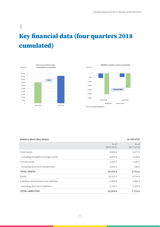## <span id="page-2-0"></span>1 Key financial data (four quarters 2018 cumulated)





| <b>Balance sheet (key items)</b>           |                     | in '000 PLN         |
|--------------------------------------------|---------------------|---------------------|
|                                            | As of<br>2018-12-31 | As of<br>2017-12-31 |
| Fixed assets                               | 8,900.4             | 6,577.9             |
| including intangible and legal assets      | 8,837.9             | 3,118.4             |
| Current assets                             | 5,283.5             | 1,143.7             |
| including short-term investments           | 3,879.0             | 246.0               |
| <b>TOTAL ASSETS</b>                        | 14,183.9            | 7,721.6             |
| Equity                                     | 10,201.3            | 4,740.9             |
| Liabilities and provisions for liabilities | 3,982.6             | 2,980.7             |
| including short term liabilities           | 3,733.0             | 1,293.0             |
| <b>TOTAL LIABILITIES</b>                   | 14,183.9            | 7,721.6             |

#### 2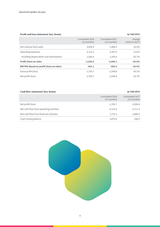#### Profit and loss statement (key items) in '000 PLN

|                                                 | Cumulated 2018<br>$(12$ months) | Cumulated 2017<br>$(12$ months) | change<br>$(2018 \text{ vs } 2017)$ |
|-------------------------------------------------|---------------------------------|---------------------------------|-------------------------------------|
| Net revenue from sales                          | 4,604.9                         | 3,488.5                         | 32.0%                               |
| Operating expenses                              | 6,131.3                         | 5,397.6                         | 13.6%                               |
| including depreciation and amortization         | 1,065.4                         | 1,343.6                         | $-20.7%$                            |
| <b>Profit (loss) on sales</b>                   | $-1,526.5$                      | $-1,909.1$                      | $-20.0%$                            |
| <b>EBITDA (based on profit (loss) on sales)</b> | $-461.1$                        | $-565.5$                        | $-18.5%$                            |
| Gross profit (loss)                             | $-1,765.7$                      | $-2,548.8$                      | $-30.7%$                            |
| Net profit (loss)                               | $-1,765.7$                      | $-2,548.8$                      | $-30.7%$                            |

| <b>Cash flow statement (key items)</b><br>in '000 PLN |                                 |                                 |  |  |
|-------------------------------------------------------|---------------------------------|---------------------------------|--|--|
|                                                       | Cumulated 2018<br>$(12$ months) | Cumulated 2017<br>$(12$ months) |  |  |
| Net profit (loss)                                     | $-1,765.7$                      | $-2,548.8$                      |  |  |
| Net cash flow from operating activities               | $-4,115.6$                      | $-3,711.3$                      |  |  |
| Net cash flow from financial activities               | 7,732.4                         | 2,880.4                         |  |  |
| Cash closing balance                                  | 3,879.0                         | 246.0                           |  |  |

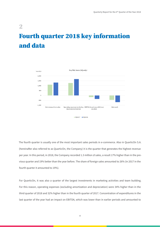## <span id="page-4-0"></span>2 Fourth quarter 2018 key information and data



The fourth quarter is usually one of the most important sales periods in e-commerce. Also in QuarticOn S.A. (hereinafter also referred to as QuarticOn, the Company) it is the quarter that generates the highest revenue per year. In this period, in 2018, the Company recorded 1.3 million zł sales, a result 17% higher than in the previous quarter and 19% better than the year before. The share of foreign sales amounted to 26% (in 2017 in the fourth quarter it amounted to 19%).

For QuarticOn, it was also a quarter of the largest investments in marketing activities and team building. For this reason, operating expenses (excluding amortization and depreciation) were 34% higher than in the third quarter of 2018 and 32% higher than in the fourth quarter of 2017. Concentration of expenditures in the last quarter of the year had an impact on EBITDA, which was lower than in earlier periods and amounted to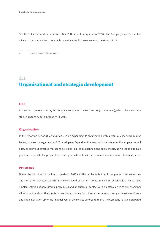-363 tPLN<sup>1</sup> for the fourth quarter (vs. -125 tPLN in the third quarter of 2018). The Company expects that the effects of these intensive actions will convert in sales in the subsequent quarters of 2019.

1 tPLN = thousands of PLN = '000 zł

### <span id="page-5-0"></span>2.1

## Organisational and strategic development

#### IPO

In the fourth quarter of 2018, the Company completed the IPO process (NewConnect), which allowed for the stock exchange debut on January 18, 2019.

#### **Organisation**

In the reporting period QuarticOn focused on expanding its organisation with a team of experts from: marketing, process management and IT developers. Expanding the team with the aforementioned persons will allow to carry out effective marketing activities in all sales channels and social media, as well as to optimize processes related to the preparation of new products and their subsequent implementation at clients' places

#### Processes

One of the priorities for the fourth quarter of 2018 was the implementation of changes in customer service and after-sales processes, which the newly created Customer Success Team is responsible for. The changes (implementation of new internal procedures and principles of contact with clients) allowed to bring together all information about the clients in one place, starting from their expectations, through the course of tests and implementation up to the final delivery of the service tailored to them. The Company has also prepared

5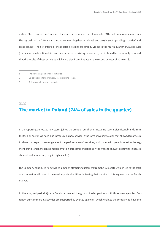a client "help center zone" in which there are necessary technical manuals, FAQs and professional materials. The key tasks of the CS team also include minimizing the churn level<sup>1</sup> and carrying out up-selling activities<sup>2</sup> and cross-selling<sup>3</sup>. The first effects of these sales activities are already visible in the fourth quarter of 2018 results (the sale of new functionalities and new services to existing customers), but it should be reasonably assumed that the results of these activities will have a significant impact on the second quarter of 2019 results.

- 1 The percentage indicator of lost sales.
- 2 Up-selling or offering new services to existing clients.
- 3 Selling complementary products.

## <span id="page-6-0"></span>2.2 The market in Poland (74% of sales in the quarter)

In the reporting period, 20 new stores joined the group of our clients, including several significant brands from the fashion sector. We have also introduced a new service in the form of website audits that allowed QuarticOn to share our expert knowledge about the performance of websites, which met with great interest in the segment of mid/smaller clients (implementation of recommendations on the website allows to optimize this sales channel and, as a result, to gain higher sales).

The Company continued its activities aimed at attracting customers from the B2B sector, which led to the start of a discussion with one of the most important entities delivering their service to this segment on the Polish market.

In the analysed period, QuarticOn also expanded the group of sales partners with three new agencies. Currently, our commercial activities are supported by over 20 agencies, which enables the company to have the

6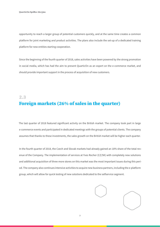opportunity to reach a larger group of potential customers quickly, and at the same time creates a common platform for joint marketing and product activities. The plans also include the set-up of a dedicated training platform for new entities starting cooperation.

Since the beginning of the fourth quarter of 2018, sales activities have been powered by the strong promotion in social media, which has had the aim to present QuarticOn as an expert on the e-commerce market, and should provide important support in the process of acquisition of new customers.

## <span id="page-7-0"></span>2.3 Foreign markets (26% of sales in the quarter)

The last quarter of 2018 featured significant activity on the British market. The company took part in large e-commerce events and participated in dedicated meetings with the groups of potential clients. The company assumes that thanks to these investments, the sales growth on the British market will be higher each quarter.

In the fourth quarter of 2018, the Czech and Slovak markets had already gained an 18% share of the total revenue of the Company. The implementation of services at Yves Rocher (CZ/SK) with completely new solutions and additional acquisition of three more stores on this market was the most important issues during this period. The company also continues intensive activities to acquire new business partners, including the e-platform group, which will allow for quick testing of new solutions dedicated to the selfservice segment.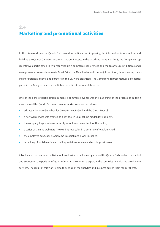## <span id="page-8-0"></span>2.4 Marketing and promotional activities

In the discussed quarter, QuarticOn focused in particular on improving the information infrastructure and building the QuarticOn brand awareness across Europe. In the last three months of 2018, the Company's representatives participated in two recognizable e-commerce conferences and the QuarticOn exhibition stands were present at key conferences in Great Britain (in Manchester and London). In addition, three meet-up meetings for potential clients and partners in the UK were organized. The Company's representatives also participated in the Google conference in Dublin, as a direct partner of this event.

One of the aims of participation in many e-commerce events was the launching of the process of building awareness of the QuarticOn brand on new markets and on the Internet:

- ads activities were launched for Great Britain, Poland and the Czech Republic,
- a new web service was created as a key tool in SaaS selling model development,
- the company began to issue monthly e-books and e-content for the sector,
- a series of training webinars "how to improve sales in e-commerce" was launched,
- the employee advocacy programme in social media was launched,
- launching of social media and mailing activities for new and existing customers.

All of the above-mentioned activities allowed to increase the recognition of the QuarticOn brand on the market and strengthen the position of QuarticOn as an e-commerce expert in the countries in which we provide our services. The result of this work is also the set-up of the analytics and business advice team for our clients.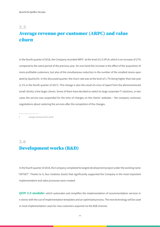### <span id="page-9-0"></span>2.5

## Average revenue per customer (ARPC) and value churn

In the fourth quarter of 2018, the Company recorded ARPC<sup>1</sup> at the level of 2.5 tPLN, which is an increase of 27% compared to the same period of the previous year. On one hand this increase is the effect of the acquisition of more profitable customers, but also of the simultaneous reduction in the number of the smallest stores operated by QuarticOn. In the discussed quarter, the churn rate was at the level of 1.7% being higher than last year (1.1% in the fourth quarter of 2017). This change is also the result of a loss of (apart from the aforementioned small clients) a few larger clients. Some of them have decided to switch to large corporate IT solutions, in two cases the service was suspended for the time of changes on the clients' websites – the company continues negotiations about restoring the services after the completion of the changes.

1 averge revenues from client

## <span id="page-9-1"></span>2.6 Development works (R&D)

In the fourth quarter of 2018, the Company completed its largest development project under the working name "OFFSET". Thanks to it, four modules (tools) that significantly supported the Company in the most important implementation and sales processes were created:

QON 2.0 module: which automates and simplifies the implementation of recommendation services in e-stores with the use of implementation templates and an optimized process. The new technology will be used in most implementation cases for new customers acquired via the B2B channel.

 $\overline{9}$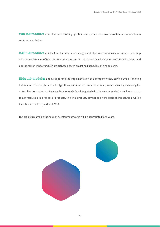VOD 2.0 module: which has been thoroughly rebuilt and prepared to provide content recommendation services on websites.

**BAP 1.0 module:** which allows for automatic management of promo communication within the e-shop without involvement of IT teams. With this tool, one is able to add (via dashboard) customized banners and pop-up selling windows which are activated based on defined behaviors of e-shop users.

**EMA 1.0 module:** a tool supporting the implementation of a completely new service Email Marketing Automation. This tool, based on AI algorithms, automates customizable email promo activities, increasing the value of e-shop customer. Because this module is fully integrated with the recommendation engine, each customer receives a tailored set of products. The final product, developed on the basis of this solution, will be launched in the first quarter of 2019.

The project created on the basis of development works will be depreciated for 5 years.

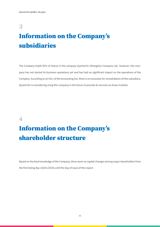## <span id="page-11-0"></span>3

## Information on the Company's subsidiaries

The Company holds 50% of shares in the company QuarticOn (Shanghai) Company Ltd., however, this company has not started its business operations yet and has had no significant impact on the operations of the Company. According to art 58.1 of the Accounting Act, there is no necessity for consolidation of this subsidiary. QuarticOn is considering using this company in the future to provide its services on Asian markets.

### <span id="page-11-1"></span>4

## Information on the Company's shareholder structure

Based on the best knowledge of the Company, there were no capital changes among major shareholders from the first listing day (18/01/2019) until the day of issue of this report.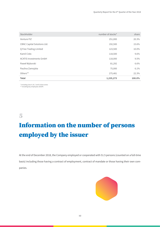| Stockholder                        | number of stocks* | share   |
|------------------------------------|-------------------|---------|
| Venture FIZ                        | 251,000           | 20.3%   |
| <b>CBNC Capital Solutions Ltd.</b> | 192,500           | 15.6%   |
| Q Free Trading Limited             | 123,500           | 10.0%   |
| Kamil Cisło                        | 118,500           | $9.6\%$ |
| <b>ACATIS Investments GmbH</b>     | 118,000           | 9.5%    |
| Paweł Wyborski                     | 81,292            | 6.6%    |
| Paulina Zamojska                   | 75,000            | 6.1%    |
| Others**                           | 275,481           | 22.3%   |
| <b>Total</b>                       | 1,235,273         | 100.0%  |

\* including class A, B, C and E share series \*\* including key employees (ESOP)

<span id="page-12-0"></span>5

## Information on the number of persons employed by the issuer

At the end of December 2018, the Company employed or cooperated with 51.5 persons (counted on a full-time basis) including those having a contract of employment, contract of mandate or those having their own companies.

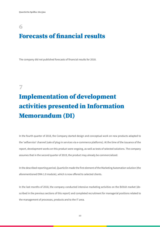## <span id="page-13-0"></span>6 Forecasts of financial results

The company did not published forecasts of financial results for 2018.

## <span id="page-13-1"></span>7

## Implementation of development activities presented in Information Memorandum (DI)

In the fourth quarter of 2018, the Company started design and conceptual work on new products adapted to the 'selfservice' channel (sale of plug-in services via e-commerce platforms). At the time of the issuance of the report, development works on this product were ongoing, as well as tests of selected solutions. The company assumes that in the second quarter of 2019, the product may already be commercialized.

In the described reporting period, QuarticOn made the first element of the Marketing Automation solution (the aforementioned EMA 1.0 module), which is now offered to selected clients.

In the last months of 2018, the company conducted intensive marketing activities on the British market (described in the previous sections of this report) and completed recruitment for managerial positions related to the management of processes, products and to the IT area.

13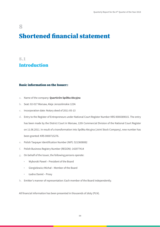## <span id="page-14-0"></span>8 Shortened financial statement

## <span id="page-14-1"></span>8.1 Introduction

#### Basic information on the Issuer::

- a. Name of the company: **QuarticOn Spółka Akcyjna**
- b. Seat: 02-017 Warsaw, Aleje Jerozolimskie 123A
- c. Incorporation date: Notary deed of 2011-05-13
- d. Entry to the Register of Entrepreneurs under National Court Register Number KRS 0000389015. The entry has been made by the District Court in Warsaw, 12th Commercial Division of the National Court Register on 11.06.2011. In result of a transformation into Spółka Akcyjna (Joint Stock Company), new number has been granted: KRS 0000715276.
- e. Polish Taxpayer Identification Number (NIP): 5213608082
- f. Polish Business Registry Number (REGON): 142977414
- g. On behalf of the Issuer, the following persons operate:
	- Wyborski Paweł President of the Board
	- Giergielewicz Michał Member of the Board
	- Ładno Daniel Proxy
- h. Emitter's manner of representation: Each member of the Board independently.

All financial information has been presented in thousends of złoty (PLN).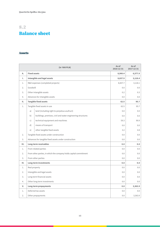## <span id="page-15-0"></span>8.2 Balance sheet

### Assets

|     |              | (in '000 PLN)                                                     | As of<br>2018-12-31 | As of<br>2017-12-31 |
|-----|--------------|-------------------------------------------------------------------|---------------------|---------------------|
| А.  |              | <b>Fixed assets</b>                                               | 8,900.4             | 6,577.9             |
| Ι.  |              | Intangible and legal assets                                       | 8,837.9             | 3,118.4             |
| 1.  |              | R&D expenses (completed projects)                                 | 8,837.7             | 3,118.1             |
| 2.  | Goodwill     |                                                                   | 0.0                 | 0.0                 |
| 3.  |              | Other intangible assets                                           | 0.2                 | 0.3                 |
| 4.  |              | Advances for intangible assets                                    | 0.0                 | 0.0                 |
| II. |              | <b>Tangible fixed assets</b>                                      | 62.5                | 95.7                |
| 1.  |              | Tangible fixed assets in use                                      | 62.5                | 95.7                |
|     | a)           | land (including right to perpetua usufruct)                       | 0.0                 | 0.0                 |
|     | b)           | buildings, premises, civil and water engineering structures       | 0.0                 | 0.0                 |
|     | $\mathsf{C}$ | technical equipment and machines                                  | 59.3                | 90.9                |
|     | d)           | means of transport                                                | 0.0                 | 0.0                 |
|     | e)           | other tangible fixed assets                                       | 3.2                 | 4.8                 |
| 2.  |              | Tangible fixed assets under construction                          | 0.0                 | 0.0                 |
| 3.  |              | Advances for tangible fixed assets under construction             | 0.0                 | 0.0                 |
| Ш.  |              | Long-term receivables                                             | 0.0                 | 0.0                 |
| 1.  |              | From related parties                                              | 0.0                 | 0.0                 |
| 2.  |              | From other parties, in which the company holds capital commitment | 0.0                 | 0.0                 |
| 3.  |              | From other parties                                                | 0.0                 | 0.0                 |
| IV. |              | <b>Long-term investments</b>                                      | 0.0                 | 0.0                 |
| 1.  |              | Real property                                                     | 0.0                 | 0.0                 |
| 2.  |              | Intangible and legal assets                                       | 0.0                 | 0.0                 |
| 3.  |              | Long-term financial assets                                        | 0.0                 | 0.0                 |
| 4.  |              | Other long-term investments                                       | 0.0                 | 0.0                 |
| V.  |              | Long-term prepayments                                             | 0.0                 | 3,363.9             |
| 1.  |              | Deferred tax assets                                               | 0.0                 | 0.0                 |
| 2.  |              | Other prepayments                                                 | 0.0                 | 3,363.9             |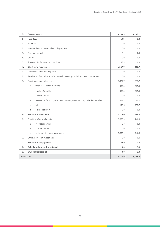| <b>B.</b>           |              | <b>Current assets</b>                                                         | 5,283.5  | 1,143.7 |
|---------------------|--------------|-------------------------------------------------------------------------------|----------|---------|
| Ι.                  | Inventory    |                                                                               | 19.9     | 0.0     |
| 1.                  | Materials    |                                                                               | 0.0      | 0.0     |
| 2.                  |              | Intermediate products and work in progress                                    | 0.0      | 0.0     |
| 3.                  |              | Finished products                                                             | 0.0      | 0.0     |
| 4.                  | Goods        |                                                                               | 0.0      | 0.0     |
| 5.                  |              | Advances for deliveries and services                                          | 19.9     | 0.0     |
| н.                  |              | <b>Short-term receivables</b>                                                 | 1,327.7  | 893.7   |
| 1.                  |              | Receivables from related parties                                              | 0.0      | 0.0     |
| 2.                  |              | Receivables from other entities in which the company holds capital commitment | 0.0      | 0.0     |
| 3.                  |              | Receivables from other ent                                                    | 1,327.7  | 893.7   |
|                     | a)           | trade receivables, maturing:                                                  | 932.3    | 625.9   |
|                     |              | - up to 12 months                                                             | 932.3    | 625.9   |
|                     |              | - over 12 months                                                              | 0.0      | 0.0     |
|                     | b)           | receivables from tax, subsidies, customs, social security and other benefits  | 254.8    | 10.1    |
|                     | $\mathsf{C}$ | other                                                                         | 140.6    | 257.7   |
|                     | d)           | claimed at court                                                              | 0.0      | 0.0     |
| III.                |              | <b>Short-term investments</b>                                                 | 3,879.0  | 246.0   |
| 1.                  |              | Short-term financial assets                                                   | 3,879.0  | 246.0   |
|                     | a)           | in related parties                                                            | 0.0      | 0.0     |
|                     | b)           | in other parties                                                              | 0.0      | 0.0     |
|                     | $\mathsf{C}$ | cash and other pecuniary assets                                               | 3,879.0  | 246.0   |
| 2.                  |              | Other short-term investments                                                  | 0.0      | 0.0     |
| IV.                 |              | <b>Short-term prepayments</b>                                                 | 56.9     | 4.0     |
| C.                  |              | Called up share capital not paid                                              | 0.0      | 0.0     |
| D.                  |              | Own shares (stocks)                                                           | 0.0      | 0.0     |
| <b>Total Assets</b> |              |                                                                               | 14,183.9 | 7,721.6 |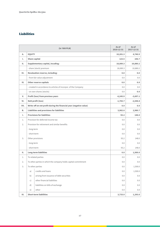## **Liabilities**

|           |                      | (in '000 PLN)                                                      | As of<br>2018-12-31 | As of<br>2017-12-31 |
|-----------|----------------------|--------------------------------------------------------------------|---------------------|---------------------|
| Α.        | <b>EQUITY</b>        |                                                                    | 10,201.3            | 4,740.9             |
| Ι.        | <b>Share capital</b> |                                                                    | 123.5               | 106.7               |
| II.       |                      | Supplementary capital, incuding:                                   | 18,089.3            | 10,880.2            |
|           |                      | - share (stock) premium                                            | 18,089.3            | 10,880.2            |
| Ш.        |                      | <b>Revaluation reserve, including:</b>                             | 0.0                 | 0.0                 |
|           |                      | - from fair value adjustment                                       | 0.0                 | 0.0                 |
| IV.       |                      | <b>Other reserve capitals</b>                                      | 0.0                 | 0.0                 |
|           |                      | - created in accordance to articles of incorpor. of the Company    | 0.0                 | 0.0                 |
|           |                      | - on own shares (stocks)                                           | 0.0                 | 0.0                 |
| V.        |                      | Profit (loss) from previous years                                  | $-6,245.9$          | $-3,697.1$          |
| VI.       |                      | Nett profit (loss)                                                 | $-1,765.7$          | $-2,548.8$          |
| VII.      |                      | Write-off on net profit during the financial year (negative value) | 0.0                 | 0.0                 |
| <b>B.</b> |                      | Liabilities and provisions for liabilities                         | 3,982.6             | 2,980.7             |
| Ι.        |                      | <b>Provisions for liabilities</b>                                  | 93.2                | 148.0               |
| 1.        |                      | Provision for deferred income tax                                  | 0.0                 | 0.0                 |
| 2.        |                      | Provision for retirement and similar benefits                      | 0.0                 | 0.0                 |
|           | - long-term          |                                                                    | 0.0                 | 0.0                 |
|           | - short-term         |                                                                    | 0.0                 | 0.0                 |
| 3.        |                      | Other provisions                                                   | 93.2                | 148.0               |
|           | - long-term          |                                                                    | 0.0                 | 0.0                 |
|           | - short-term         |                                                                    | 93.2                | 148.0               |
| II.       |                      | Long-term liabilities                                              | 0.0                 | 1,500.0             |
| 1.        |                      | To related parties                                                 | 0.0                 | 0.0                 |
| 2.        |                      | To other parties in which the company holds capital commitment     | 0.0                 | 0.0                 |
| 3.        |                      | To other parties                                                   | $0.0\,$             | 1,500.0             |
|           | a)                   | credits and loans                                                  | 0.0                 | 1,500.0             |
|           | b)                   | arising from issuance of debt securities                           | 0.0                 | 0.0                 |
|           | $\mathsf{C}$         | other financial liabilities                                        | 0.0                 | 0.0                 |
|           | d)                   | liabilities on bills of exchange                                   | 0.0                 | 0.0                 |
|           | e)                   | other                                                              | 0.0                 | 0.0                 |
| Ш.        |                      | <b>Short-term liabilities</b>                                      | 3,733.0             | 1,293.0             |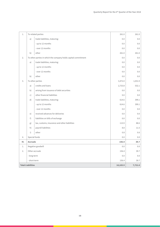| 1.  |                          | To related parties                                             | 261.0    | 261.0   |
|-----|--------------------------|----------------------------------------------------------------|----------|---------|
|     | a)                       | trade liabilities, maturing:                                   | 0.0      | 0.0     |
|     |                          | - up to 12 months                                              | 0.0      | 0.0     |
|     |                          | - over 12 months                                               | 0.0      | 0.0     |
|     | b)                       | other                                                          | 261.0    | 261.0   |
| 2.  |                          | To other parties in which the company holds capital commitment | 0.0      | 0.0     |
|     | a)                       | trade liabilities, maturing:                                   | 0.0      | 0.0     |
|     |                          | - up to 12 months                                              | 0.0      | 0.0     |
|     |                          | - over 12 months                                               | 0.0      | 0.0     |
|     | b)                       | other                                                          | 0.0      | 0.0     |
| 3.  |                          | To other parties                                               | 3,472.0  | 1,031.9 |
|     | a)                       | credits and loans                                              | 2,733.8  | 532.1   |
|     | b)                       | arising from issuance of debt securities                       | 0.0      | 0.0     |
|     | c)                       | other financial liabilities                                    | 0.0      | 0.0     |
|     | d)                       | trade liabilities, maturing:                                   | 614.6    | 399.1   |
|     |                          | - up to 12 months                                              | 614.6    | 399.1   |
|     |                          | - over 12 months                                               | 0.0      | 0.0     |
|     | e)                       | received advances for deliveries                               | 0.0      | 0.0     |
|     | f)                       | liabilities on bills of exchange                               | 0.0      | 0.0     |
|     | g)                       | tax, customs, insurance and other liabilities                  | 113.9    | 88.6    |
|     | h)                       | payroll liabilities                                            | 8.8      | 11.5    |
|     | $\mathsf{i}$             | other                                                          | 0.8      | 0.6     |
| 4.  | Special funds            |                                                                | 0.0      | 0.0     |
| IV. | <b>Accruals</b>          |                                                                | 156.4    | 39.7    |
| 1.  |                          | Negative goodwill                                              | 0.0      | 0.0     |
| 2.  |                          | Other accruals                                                 | 156.4    | 39.7    |
|     | - long-term              |                                                                | 0.0      | 0.0     |
|     | - short-term             |                                                                | 156.4    | 39.7    |
|     | <b>Total Liabilities</b> |                                                                | 14,183.9 | 7,721.6 |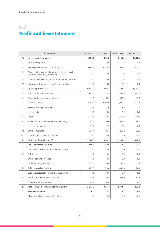## <span id="page-19-0"></span>8.3 Profit and loss statement

| (in '000 PLN)   |                                                                                             | <b>Cum. 2018</b> | <b>IVQ 2018</b> | <b>Cum. 2017</b> | <b>IVQ 2017</b> |
|-----------------|---------------------------------------------------------------------------------------------|------------------|-----------------|------------------|-----------------|
| Α.              | Net revenue from sales                                                                      | 4,604.9          | 1,315.2         | 3,488.5          | 1,101.1         |
|                 | from related parties                                                                        | 0.0              | 0.0             | 0.0              | 0.0             |
| $\mathsf{L}$    | Net revenue from sales of products                                                          | 4,604.9          | 1,315.2         | 3,488.5          | 1,101.1         |
| Ш.              | Change in the balance of products (increase - positive<br>value, decrease - negative value) | 0.0              | 0.0             | 0.0              | 0.0             |
| III.            | Costs of manufacturing products for internal purposes                                       | 0.0              | 0.0             | 0.0              | 0.0             |
| IV.             | Net revenue from sales of goods and materials                                               | 0.0              | 0.0             | 0.0              | 0.0             |
| <b>B.</b>       | <b>Operating expenses</b>                                                                   | 6,131.3          | 1,950.1         | 5,397.6          | 1,605.5         |
| Ι.              | Amortisation and depreciation                                                               | 1,065.4          | 272.5           | 1,343.6          | 337.1           |
| $\mathbf{II}$ . | Consumption of materials and energy                                                         | 119.0            | 58.9            | 113.0            | 48.3            |
| III.            | <b>External services</b>                                                                    | 3,268.1          | 1,050.9         | 1,470.4          | 621.8           |
| IV.             | Taxes and charges, including:                                                               | 34.7             | 12.0            | 2.8              | 1.6             |
|                 | - excise duty                                                                               | 0.0              | 0.0             | 0.0              | 0.0             |
| V.              | Payroll                                                                                     | 1,281.5          | 414.4           | 2,087.9          | 506.9           |
| VI.             | Social security and other benefits, including:                                              | 142.2            | 55.0            | 274.8            | 69.1            |
|                 | - retirement benefits                                                                       | 73.6             | 22.9            | 0.0              | 0.0             |
| VII.            | Other prime costs                                                                           | 220.4            | 86.4            | 105.2            | 20.6            |
| VIII.           | Value of goods and materials sold                                                           | 0.0              | 0.0             | 0.0              | 0.0             |
| C.              | Profit (loss) on sales (A - B)                                                              | $-1,526.5$       | $-634.9$        | $-1,909.1$       | $-504.3$        |
| D.              | <b>Other operating revenues</b>                                                             | 189.0            | 189.0           | 12.5             | 3.6             |
| $\mathsf{L}$    | Gain on disposal of non-financial fixed assets                                              | 0.0              | 0.0             | 0.0              | 0.0             |
| $\mathbb{H}$ .  | Subsidies                                                                                   | 0.0              | 0.0             | 0.0              | 0.0             |
| III.            | Other operating revenues                                                                    | 0.0              | 0.0             | 0.0              | 0.0             |
| IV.             | Other operating revenues                                                                    | 189.0            | 189.0           | 12.5             | 3.6             |
| Е.              | <b>Other operating expenses</b>                                                             | 179.9            | 179.4           | 497.0            | $-94.0$         |
| Ι.              | Loss on disposal of non-financial fixed assets                                              | 0.0              | 0.0             | 0.0              | 0.0             |
| $\mathbb{H}$ .  | Revaluation of non-financial assets                                                         | 34.5             | 34.5            | 431.9            | $-83.8$         |
| III.            | Other operating expenses                                                                    | 145.4            | 145.0           | 65.1             | $-10.2$         |
| F.              | Profit (loss) on operating activities (C+D-E)                                               | $-1,517.3$       | $-625.4$        | $-2,393.6$       | $-406.8$        |
| G.              | <b>Financial revenues</b>                                                                   | 16.2             | 16.2            | 12.3             | 3.1             |
| Ι.              | Dividend and profit sharing, including:                                                     | 0.0              | 0.0             | 0.0              | 0.0             |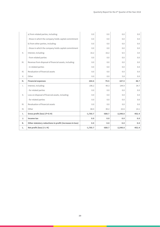|                 | a) from related parties, including:                      | 0.0        | 0.0      | 0.0        | 0.0      |
|-----------------|----------------------------------------------------------|------------|----------|------------|----------|
|                 | - those in which the company holds capital commitment    | 0.0        | 0.0      | 0.0        | 0.0      |
|                 | b) from other parties, including:                        | 0.0        | 0.0      | 0.0        | 0.0      |
|                 | - those in which the company holds capital commitment    | 0.0        | 0.0      | 0.0        | 0.0      |
| $\mathbb{I}$ .  | Interest, including:                                     | 16.2       | 16.2     | 6.5        | 3.0      |
|                 | - from related parties                                   | 0.0        | 0.0      | 0.0        | 0.0      |
| III.            | Revenue from disposal of financial assets, including:    | 0.0        | 0.0      | 0.0        | 0.0      |
|                 | - in related parties                                     | 0.0        | 0.0      | 0.0        | 0.0      |
| IV.             | Revaluation of financial assets                          | 0.0        | 0.0      | 0.0        | 0.0      |
| V.              | Other                                                    | 0.0        | 0.0      | 5.8        | 0.0      |
| н.              | <b>Financial expenses</b>                                | 264.6      | 79.5     | 167.5      | 48.7     |
|                 |                                                          |            |          |            |          |
| $\mathsf{L}$    | Interest, including:                                     | 196.2      | 49.3     | 144.9      | 34.7     |
|                 | - for related parties                                    | 0.0        | 0.0      | 0.0        | 0.0      |
| $\mathbf{II}$ . | Loss on disposal of financial assets, including:         | 0.0        | 0.0      | 0.0        | 0.0      |
|                 | - for related parties                                    | 0.0        | 0.0      | 0.0        | 0.0      |
| III.            | Revaluation of financial assets                          | 0.0        | 0.0      | 0.0        | 0.0      |
| IV.             | Other                                                    | 68.4       | 30.2     | 22.6       | 14.1     |
| Ι.              | Gross profit (loss) (F+G-H)                              | $-1,765.7$ | $-688.7$ | $-2,548.8$ | $-452.4$ |
| J.              | Income tax                                               | 0.0        | 0.0      | 0.0        | 0.0      |
| K.              | Other statutory reductions in profit (increases in loss) | 0.0        | 0.0      | 0.0        | 0.0      |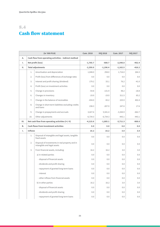## <span id="page-21-0"></span>8.4 Cash flow statement

| (in '000 PLN) |                                                  | <b>Cum. 2018</b>                                                               | <b>IVQ 2018</b> | <b>Cum. 2017</b> | <b>IVQ 2017</b> |          |
|---------------|--------------------------------------------------|--------------------------------------------------------------------------------|-----------------|------------------|-----------------|----------|
| А.            |                                                  | Cash flow from operating activities - indirect method                          |                 |                  |                 |          |
| Ι.            |                                                  | Net profit (loss)                                                              | $-1,765.7$      | $-688.7$         | $-2,548.8$      | $-452.4$ |
| н.            | <b>Total adjustments</b>                         |                                                                                | $-2,350.0$      | $-1,196.4$       | $-1,162.5$      | $-416.2$ |
|               | 1.                                               | Amortisation and depreciation                                                  | 1,048.0         | 258.0            | 1,716.0         | 264.3    |
|               | 2.                                               | Profit (loss) from differences of exchange rates                               | 0.0             | 0.0              | 0.0             | 0.0      |
|               | 3.                                               | Interest and profit sharing (dividend)                                         | 179.2           | 33.1             | 76.2            | $-41.0$  |
|               | 4.                                               | Profit (loss) on investment activities                                         | 0.0             | 0.0              | 0.0             | 0.0      |
|               | 5.                                               | Change in provisions                                                           | $-54.8$         | $-131.9$         | 48.2            | $-18.8$  |
|               | 6.                                               | Changes in inventory                                                           | $-19.9$         | $-19.9$          | 311.5           | 65.2     |
|               | 7.                                               | Change in the balance of receivables                                           | $-434.0$        | 65.2             | 225.9           | 402.4    |
|               | 8.                                               | Change in short-term liabilities excluding credits<br>and loans                | 238.3           | $-207.9$         | 247.6           | 17.6     |
|               | 9.                                               | Change in prepayments and accruals                                             | 3,427.6         | 5,541.4          | $-3,344.9$      | $-662.7$ |
|               | 10.                                              | Other adjustments                                                              | $-6,734.3$      | $-6,734.3$       | $-443.1$        | $-443.1$ |
| Ш.            | Net cash flow from operating activities (I+/-II) |                                                                                | $-4, 115.6$     | $-1,885.1$       | $-3,711.3$      | $-868.6$ |
| В.            |                                                  | <b>Cash flows from investment activities</b>                                   | 0.0             | 0.0              | 0.0             | 0.0      |
| Ι.            | <b>Inflows</b>                                   |                                                                                | 16.2            | 16.2             | 3.0             | 3.0      |
|               | 1.                                               | Disposal of intangible and legal assets, tangible<br>fixed assets              | 0.0             | 0.0              | 0.0             | 0.0      |
|               | 2.                                               | Disposal of investments in real property and in<br>intangible and legal assets | 0.0             | 0.0              | 0.0             | 0.0      |
|               | 3.                                               | From financial assets, including:                                              | 16.2            | 16.2             | 3.0             | 3.0      |
|               |                                                  | a) in related parties                                                          | 0.0             | 0.0              | 0.0             | 0.0      |
|               |                                                  | - disposal of financial assets                                                 | 0.0             | 0.0              | 0.0             | 0.0      |
|               |                                                  | - dividends and profit sharing                                                 | 0.0             | 0.0              | 0.0             | 0.0      |
|               |                                                  | - repayment of granted long-term loans                                         | 0.0             | 0.0              | 0.0             | 0.0      |
|               |                                                  | - interest                                                                     | 0.0             | 0.0              | 0.0             | 0.0      |
|               |                                                  | - other inflows from financial assets                                          | 0.0             | 0.0              | 0.0             | 0.0      |
|               |                                                  | b) in other parties                                                            | 16.2            | 16.2             | 3.0             | 3.0      |
|               |                                                  | - disposal of financial assets                                                 | 0.0             | 0.0              | 0.0             | 0.0      |
|               |                                                  | - dividends and profit sharing                                                 | 0.0             | 0.0              | 0.0             | 0.0      |
|               |                                                  | - repayment of granted long-term loans                                         | 0.0             | 0.0              | 0.0             | 0.0      |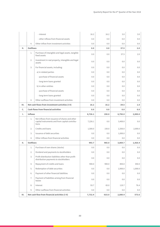|    |                                             | - interest                                                                                               | 16.2    | 16.2  | 3.0     | 3.0     |
|----|---------------------------------------------|----------------------------------------------------------------------------------------------------------|---------|-------|---------|---------|
|    |                                             | - other inflows from financial assets                                                                    | 0.0     | 0.0   | 0.0     | 0.0     |
|    | 4.                                          | Other inflow from investment activities                                                                  | 0.0     | 0.0   | 0.0     | 0.0     |
| н. | <b>Outflows</b>                             |                                                                                                          | 0.0     | 0.0   | 37.5    | 2.0     |
|    | 1.                                          | Purchase of intangible and legal assets, tangible<br>fixed assets                                        | 0.0     | 0.0   | 37.5    | 2.0     |
|    | 2.                                          | Investment in real property, intangible and legal<br>assets                                              | 0.0     | 0.0   | 0.0     | 0.0     |
|    | 3.                                          | For financial assets, including:                                                                         | 0.0     | 0.0   | 0.0     | 0.0     |
|    |                                             | a) in related parties                                                                                    | 0.0     | 0.0   | 0.0     | 0.0     |
|    |                                             | - purchase of financial assets                                                                           | 0.0     | 0.0   | 0.0     | 0.0     |
|    |                                             | - long-term loans granted                                                                                | 0.0     | 0.0   | 0.0     | 0.0     |
|    |                                             | b) in other entities                                                                                     | 0.0     | 0.0   | 0.0     | 0.0     |
|    |                                             | - purchase of financial assets                                                                           | 0.0     | 0.0   | 0.0     | 0.0     |
|    |                                             | - long-term loans granted                                                                                | 0.0     | 0.0   | 0.0     | 0.0     |
|    | 4.                                          | Other outflows from investment activities                                                                | 0.0     | 0.0   | 0.0     | 0.0     |
| Ш. |                                             | Net cash flows from investment activities (I-II)                                                         | 16.2    | 16.2  | $-34.5$ | 1.0     |
| C. | <b>Cash flows from financial activities</b> |                                                                                                          | 0.0     | 0.0   | 0.0     | 0.0     |
|    |                                             |                                                                                                          |         |       | 6,750.0 |         |
| Ι. | <b>Inflows</b>                              |                                                                                                          | 8,726.1 | 150.0 |         | 2,000.0 |
|    | 1.                                          | Net inflows from issuance of shares and other<br>capital instruments and from capital contribu-<br>tions | 7,226.1 | 0.0   | 3,400.0 | 0.0     |
|    | 2.                                          | Credits and loans                                                                                        | 1,500.0 | 150.0 | 2,350.0 | 2,000.0 |
|    | 3.                                          | Issuance of debt securities                                                                              | 0.0     | 0.0   | 1,000.0 | 0.0     |
|    | 4.                                          | Other inflows from financial activities                                                                  | 0.0     | 0.0   | 0.0     | 0.0     |
| н. | <b>Outflows</b>                             |                                                                                                          | 993.7   | 965.0 | 3,869.7 | 1,426.4 |
|    | 1.                                          | Purchase of own shares (stocks)                                                                          | 0.0     | 0.0   | 0.0     | 0.0     |
|    | 2.                                          | Dividend and payments to stockholders                                                                    | 0.0     | 0.0   | 0.0     | 0.0     |
|    | 3.                                          | Profit distribution liabilities other than profit<br>distribution payments to stockholders               | 0.0     | 0.0   | 0.0     | 0.0     |
|    | 4.                                          | Repayment of credits and loans                                                                           | 900.0   | 900.0 | 850.0   | 350.0   |
|    | 5.                                          | Redemption of debt securities                                                                            | 0.0     | 0.0   | 2,900.0 | 1,000.0 |
|    | 6.                                          | Payment of other financial liabilities                                                                   | 0.0     | 0.0   | 0.0     | 0.0     |
|    | 7.                                          | Payment of liabilities arising from financial<br>leases                                                  | 0.0     | 0.0   | 0.0     | 0.0     |
|    | 8.                                          | Interest                                                                                                 | 93.7    | 65.0  | 119.7   | 76.4    |
|    | 9.                                          | Other outflows from financial activities                                                                 | 0.0     | 0.0   | 0.0     | 0.0     |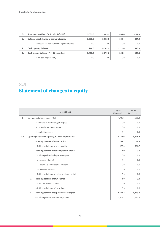| D. | Total net cash flows (A.III+/-B.III+/-C.III) |                                            | 3,633.0 | $-2,683.9$ | $-865.4$ | $-294.0$ |
|----|----------------------------------------------|--------------------------------------------|---------|------------|----------|----------|
| Е. | Balance sheet change in cash, including:     |                                            | 3,633.0 | $-2,683.9$ | $-865.4$ | $-294.0$ |
|    | ۰.                                           | change in cash due to exchange differences | 0.0     | 0.0        | 0.0      | 0.0      |
| F. |                                              | <b>Cash opening balance</b>                | 246.0   | 6,562.9    | 1,111.4  | 540.0    |
| G. | Cash closing balance (F+/-D), including:     |                                            | 3,879.0 | 3,879.0    | 246.0    | 246.0    |
|    | $\overline{\phantom{a}}$                     | of limited disposability                   | 0.0     | 0.0        | 0.0      | 0.0      |

## <span id="page-23-0"></span>8.5 Statement of changes in equity

| (in '000 PLN) |                                |                                                  | As of<br>2018-12-31 | As of<br>2017-12-31 |
|---------------|--------------------------------|--------------------------------------------------|---------------------|---------------------|
| $\mathbf{L}$  | Opening balance of equity (OB) |                                                  | 4,740.9             | 4,351.2             |
|               |                                | a) changes in accounting principles              | 0.0                 | 0.0                 |
|               |                                | b) corrections of basic errors                   | 0.0                 | 0.0                 |
|               |                                | c) capital increases                             | 0.0                 | 0.0                 |
| I.a.          |                                | Opening balance of equity (OB) after adjustments | 4,740.9             | 4,351.2             |
|               | 1.                             | <b>Opening balance of share capital</b>          | 106.7               | 73.9                |
|               |                                | 1.2. Closing balance of share capital            | 123.5               | 106.7               |
|               | 2.                             | Opening balance of called up share capital       | 0.0                 | 0.0                 |
|               |                                | 2.1. Changes in called up share capital          | 0.0                 | 0.0                 |
|               |                                | a) increase (due to)                             | 0.0                 | 0.0                 |
|               |                                | - called up share capital not paid               | 0.0                 | 0.0                 |
|               |                                | b) decrease (due to)                             | 0.0                 | 0.0                 |
|               |                                | 2.2. Closing balance of called up share capital  | 0.0                 | 0.0                 |
|               | 3.                             | <b>Opening balance of own shares</b>             | 0.0                 | 0.0                 |
|               |                                | 3.1. Increase in own shares                      | 0.0                 | 0.0                 |
|               |                                | 3.2. Closing balance of own shares               | 0.0                 | 0.0                 |
|               | 4.                             | Opening balance of supplementary capital         | 10,880.2            | 7,498.8             |
|               |                                | 4.1. Changes in supplementary capital            | 7,209.2             | 3,381.3             |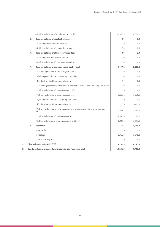|    |    | 4.2. Closing balance of supplementary capital                                           | 18,089.3   | 10,880.2   |
|----|----|-----------------------------------------------------------------------------------------|------------|------------|
|    | 5. | <b>Opening balance of revaluation reserve</b>                                           | 0.0        | 0.0        |
|    |    | 5.1. Changes in revaluation reserve                                                     | 0.0        | 0.0        |
|    |    | 5.2. Closing balance of revaluation reserve                                             | 0.0        | 0.0        |
|    | 6. | Opening balance of other reserve capitals                                               | 0.0        | 0.0        |
|    |    | 6.1. Changes in other reserve capitals                                                  | 0.0        | 0.0        |
|    |    | 6.2. Closing balance of other reserve capitals                                          | 0.0        | 0.0        |
|    | 7. | Opening balance of previous years' profit (loss)                                        | $-3,697.1$ | $-3,235.6$ |
|    |    | 7.1. Opening balance of previous years' profit                                          | 0.0        | 0.0        |
|    |    | a) changes of adopted accounting principles                                             | 0.0        | 0.0        |
|    |    | b) adjustments of fundamental errors                                                    | 0.0        | 0.0        |
|    |    | 7.2. Opening balance of previous years' profit after reconciliation to comparable data  | 0.0        | 0.0        |
|    |    | 7.3. Closing balance of previous years' profit                                          | 0.0        | 0.0        |
|    |    | 7.4. Opening balance of previous years' loss                                            | $-3,697.1$ | $-3,235.6$ |
|    |    | a) changes of adopted accounting principles                                             | 0.0        | 0.0        |
|    |    | b) adjustments of fundamental errors                                                    | 0.0        | $-461.5$   |
|    |    | 7.5. Opening balance of previous years' loss after reconciliation to comparable<br>data | $-3,697.1$ | $-3,697.1$ |
|    |    | 7.6. Closing balance of previous years' loss                                            | $-6,245.9$ | $-3,697.1$ |
|    |    | 7.7. Closing balance of previous years' profit (loss)                                   | $-6,245.9$ | $-3,697.1$ |
|    | 8. | <b>Net result</b>                                                                       | $-1,765.7$ | $-2,548.8$ |
|    |    | a) net profit                                                                           | 0.0        | 0.0        |
|    |    | b) net loss                                                                             | $-1,765.7$ | $-2,548.8$ |
|    |    | c) write-offs on profit                                                                 | 0.0        | 0.0        |
| н. |    | <b>Closing balance of equity (CB)</b>                                                   | 10,201.3   | 4,740.9    |
| Ш. |    | Equity including proposed profit distribution (loss coverage)                           | 10,201.3   | 4,740.9    |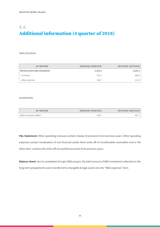## <span id="page-25-0"></span>8.6 Additional information (4 quarter of 2018)

Sales structure:

| (in '000.PLN)                  | 2018/10/01-2018/12/31 | 2017/10/01-2017/12/31 |
|--------------------------------|-----------------------|-----------------------|
| Revenue from sales of products | 1,315.2               | 1,101.1               |
| - in Poland                    | 971.5                 | 888.6                 |
| - other countries              | 343.7                 | 212.5                 |

Investments:

| (in '000.PLN)           | 2018/10/01-2018/12/31 | 2017/10/01-2017/12/31 |
|-------------------------|-----------------------|-----------------------|
| R&D Investment Offset I | 976.1                 | 667.7                 |

P&L Statement: Other operating revenues contain release of provisions from previous years. Other operating expenses contain (revaluation of non-financial assets item) write-off of uncollectable receivables and in the 'other item' contains the write-off of unsettled accounts from previous years.

**Balance sheet:** due to completed of major R&D project, the total amount of R&D investment collected on the long-term prepayments were transferred to intangible & legal assets into the "R&D expenses" item.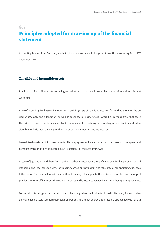## <span id="page-26-0"></span>8.7 Principles adopted for drawing up of the financial statement

Accounting books of the Company are being kept in accordance to the provision of the Accounting Act of 29<sup>th</sup> September 1994.

#### Tangible and intangible assets

Tangible and intangible assets are being valued at purchase costs lowered by depreciation and impairment write-offs.

Price of acquiring fixed assets includes also servicing costs of liabilities incurred for funding them for the period of assembly and adaptation, as well as exchange rate differences lowered by revenue from that asset. The price of a fixed asset is increased by its improvements consisting in rebuilding, modernisation and extension that make its use value higher than it was at the moment of putting into use.

Leased fixed assets put into use on a basis of leasing agreement are included into fixed assets, if the agreement complies with conditions stipulated in Art. 3 section 4 of the Accounting Act.

In case of liquidation, withdraw from service or other events causing loss of value of a fixed asset or an item of intangible and legal assets, a write-off is being carried out revaluating its value into other operating expenses. If the reason for the asset impairment write-off ceases, value equal to the entire asset or its constituent part previously wrote-off increases the value of an asset and is included respectively into other operating revenue.

Depreciation is being carried out with use of the straight-line method, established individually for each intangible and legal asset. Standard depreciation period and annual depreciation rate are established with useful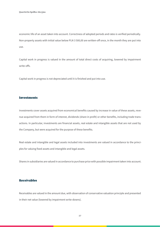economic life of an asset taken into account. Correctness of adopted periods and rates is verified periodically. Non-property assets with initial value below PLN 3 500,00 are written-off once, in the month they are put into use.

Capital work in progress is valued in the amount of total direct costs of acquiring, lowered by impairment write-offs.

Capital work in progress is not depreciated until it is finished and put into use.

#### Investments

Investments cover assets acquired from economical benefits caused by increase in value of these assets, revenue acquired from them in form of interest, dividends (share in profit) or other benefits, including trade transactions. In particular, investments are financial assets, real estate and intangible assets that are not used by the Company, but were acquired for the purpose of these benefits.

Real estate and intangible and legal assets included into investments are valued in accordance to the principles for valuing fixed assets and intangible and legal assets.

Shares in subsidiaries are valued in accordance to purchase price with possible impairment taken into account.

#### Receivables

Receivables are valued in the amount due, with observation of conservative valuation principle and presented in their net value (lowered by impairment write-downs).

27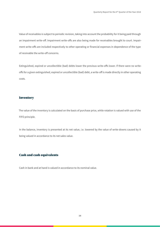Value of receivables is subject to periodic revision, taking into account the probability for it being paid through an impairment write-off. Impairment write-offs are also being made for receivables brought to court. Impairment write-offs are included respectively to other operating or financial expenses in dependence of the type of receivable the write-off concerns.

Extinguished, expired or uncollectible (bad) debts lower the previous write-offs lower. If there were no writeoffs for a given extinguished, expired or uncollectible (bad) debt, a write-off is made directly in other operating costs.

#### Inventory

The value of the inventory is calculated on the basis of purchase price, while rotation is valued with use of the FIFO principle.

In the balance, inventory is presented at its net value, i.e. lowered by the value of write-downs caused by it being valued in accordance to its net sales value.

### Cash and cash equivalents

Cash in bank and at hand is valued in accordance to its nominal value.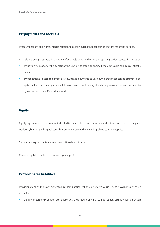#### Prepayments and accruals

Prepayments are being presented in relation to costs incurred that concern the future reporting periods.

Accruals are being presented in the value of probable debts in the current reporting period, caused in particular:

- by payments made for the benefit of the unit by its trade partners, if the debt value can be realistically valued,
- by obligations related to current activity, future payments to unknown parties that can be estimated despite the fact that the day when liability will arise is not known yet, including warranty repairs and statutory warranty for long life products sold.

#### **Equity**

Equity is presented in the amount indicated in the articles of incorporation and entered into the court register. Declared, but not paid capital contributions are presented as called up share capital not paid.

Supplementary capital is made from additional contributions.

Reserve capital is made from previous years' profit.

### Provisions for liabilities

Provisions for liabilities are presented in their justified, reliably estimated value. These provisions are being made for:

• definite or largely probable future liabilities, the amount of which can be reliably estimated, in particular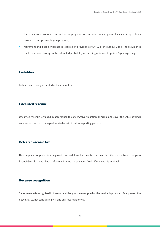for losses from economic transactions in progress, for warranties made, guarantees, credit operations, results of court proceedings in progress;

• retirement and disability packages required by provisions of Art. 92 of the Labour Code. The provision is made in amount basing on the estimated probability of reaching retirement age in a 5-year age ranges.

#### **Liabilities**

Liabilities are being presented in the amount due.

#### Unearned revenue

Unearned revenue is valued in accordance to conservative valuation principle and cover the value of funds received or due from trade partners to be paid in future reporting periods.

### Deferred income tax

The company stopped estimating assets due to deferred income tax, because the difference between the gross financial result and tax base – after eliminating the so-called fixed differences – is minimal.

#### Revenue recognition

Sales revenue is recognised in the moment the goods are supplied or the service is provided. Sale present the net value, i.e. not considering VAT and any rebates granted.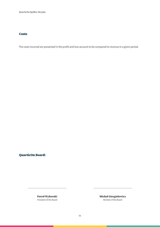#### **Costs**

The costs incurred are presented in the profit and loss account to be compared to revenue in a given period.

### QuarticOn Board:

Paweł Wyborski President of the Board Michał Giergielewicz Member of the Board